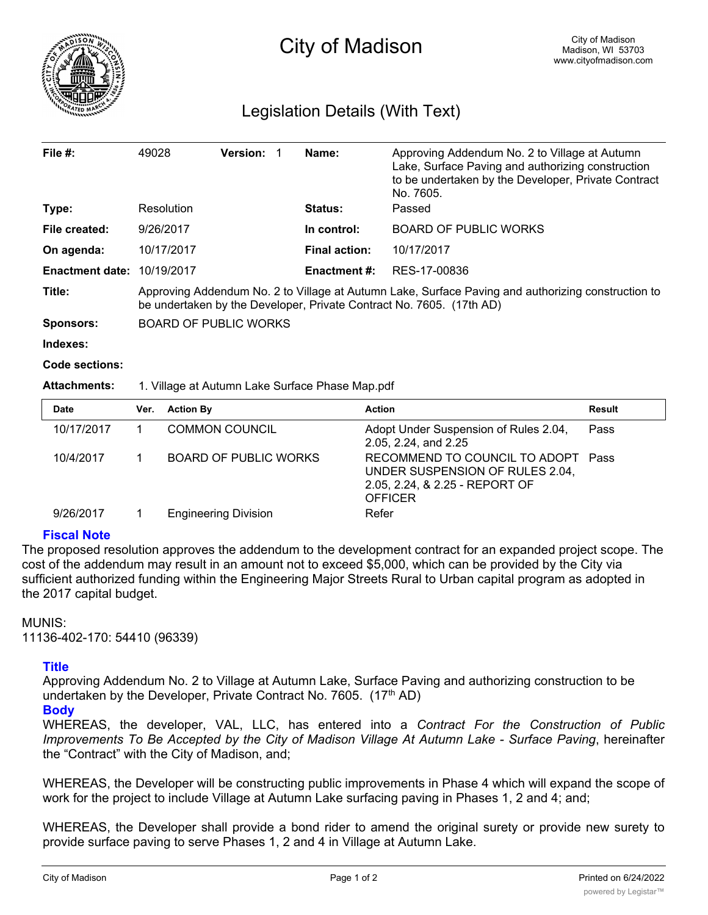

# Legislation Details (With Text)

| File $#$ :             | 49028                                                                                                                                                                      | <b>Version:</b> |  | Name:                | Approving Addendum No. 2 to Village at Autumn<br>Lake, Surface Paving and authorizing construction<br>to be undertaken by the Developer, Private Contract<br>No. 7605. |  |
|------------------------|----------------------------------------------------------------------------------------------------------------------------------------------------------------------------|-----------------|--|----------------------|------------------------------------------------------------------------------------------------------------------------------------------------------------------------|--|
| Type:                  | Resolution                                                                                                                                                                 |                 |  | <b>Status:</b>       | Passed                                                                                                                                                                 |  |
| File created:          | 9/26/2017                                                                                                                                                                  |                 |  | In control:          | <b>BOARD OF PUBLIC WORKS</b>                                                                                                                                           |  |
| On agenda:             | 10/17/2017                                                                                                                                                                 |                 |  | <b>Final action:</b> | 10/17/2017                                                                                                                                                             |  |
| <b>Enactment date:</b> | 10/19/2017                                                                                                                                                                 |                 |  | <b>Enactment #:</b>  | RES-17-00836                                                                                                                                                           |  |
| Title:                 | Approving Addendum No. 2 to Village at Autumn Lake, Surface Paving and authorizing construction to<br>be undertaken by the Developer, Private Contract No. 7605. (17th AD) |                 |  |                      |                                                                                                                                                                        |  |
| <b>Sponsors:</b>       | <b>BOARD OF PUBLIC WORKS</b>                                                                                                                                               |                 |  |                      |                                                                                                                                                                        |  |
| Indexes:               |                                                                                                                                                                            |                 |  |                      |                                                                                                                                                                        |  |
| Code sections:         |                                                                                                                                                                            |                 |  |                      |                                                                                                                                                                        |  |

#### **Attachments:** 1. Village at Autumn Lake Surface Phase Map.pdf

| <b>Date</b> | Ver. | <b>Action By</b>            | <b>Action</b>                                                                                                             | Result |
|-------------|------|-----------------------------|---------------------------------------------------------------------------------------------------------------------------|--------|
| 10/17/2017  |      | <b>COMMON COUNCIL</b>       | Adopt Under Suspension of Rules 2.04,<br>2.05, 2.24, and 2.25                                                             | Pass   |
| 10/4/2017   |      | BOARD OF PUBLIC WORKS       | RECOMMEND TO COUNCIL TO ADOPT Pass<br>UNDER SUSPENSION OF RULES 2.04,<br>2.05, 2.24, & 2.25 - REPORT OF<br><b>OFFICER</b> |        |
| 9/26/2017   |      | <b>Engineering Division</b> | Refer                                                                                                                     |        |

### **Fiscal Note**

The proposed resolution approves the addendum to the development contract for an expanded project scope. The cost of the addendum may result in an amount not to exceed \$5,000, which can be provided by the City via sufficient authorized funding within the Engineering Major Streets Rural to Urban capital program as adopted in the 2017 capital budget.

#### MUNIS:

11136-402-170: 54410 (96339)

## **Title**

Approving Addendum No. 2 to Village at Autumn Lake, Surface Paving and authorizing construction to be undertaken by the Developer, Private Contract No. 7605.  $(17<sup>th</sup> AD)$ 

**Body**

WHEREAS, the developer, VAL, LLC, has entered into a *Contract For the Construction of Public Improvements To Be Accepted by the City of Madison Village At Autumn Lake - Surface Paving*, hereinafter the "Contract" with the City of Madison, and;

WHEREAS, the Developer will be constructing public improvements in Phase 4 which will expand the scope of work for the project to include Village at Autumn Lake surfacing paving in Phases 1, 2 and 4; and;

WHEREAS, the Developer shall provide a bond rider to amend the original surety or provide new surety to provide surface paving to serve Phases 1, 2 and 4 in Village at Autumn Lake.